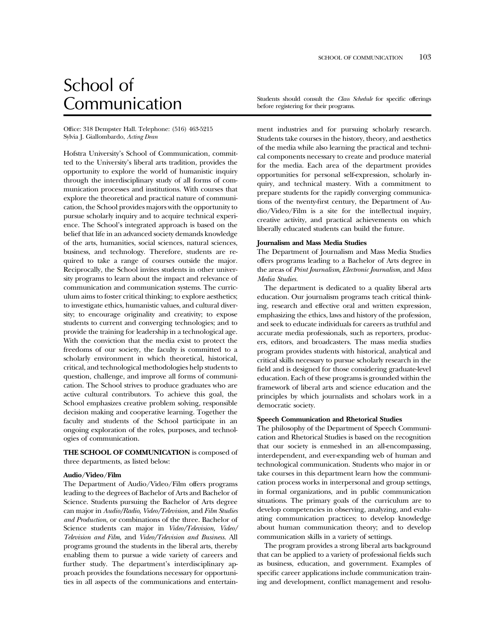# School of

Office: 318 Dempster Hall. Telephone: (516) 463-5215 Sylvia J. Giallombardo, *Acting Dean*

Hofstra University's School of Communication, committed to the University's liberal arts tradition, provides the opportunity to explore the world of humanistic inquiry through the interdisciplinary study of all forms of communication processes and institutions. With courses that explore the theoretical and practical nature of communication, the School provides majors with the opportunity to pursue scholarly inquiry and to acquire technical experience. The School's integrated approach is based on the belief that life in an advanced society demands knowledge of the arts, humanities, social sciences, natural sciences, business, and technology. Therefore, students are required to take a range of courses outside the major. Reciprocally, the School invites students in other university programs to learn about the impact and relevance of communication and communication systems. The curriculum aims to foster critical thinking; to explore aesthetics; to investigate ethics, humanistic values, and cultural diversity; to encourage originality and creativity; to expose students to current and converging technologies; and to provide the training for leadership in a technological age. With the conviction that the media exist to protect the freedoms of our society, the faculty is committed to a scholarly environment in which theoretical, historical, critical, and technological methodologies help students to question, challenge, and improve all forms of communication. The School strives to produce graduates who are active cultural contributors. To achieve this goal, the School emphasizes creative problem solving, responsible decision making and cooperative learning. Together the faculty and students of the School participate in an ongoing exploration of the roles, purposes, and technologies of communication.

**THE SCHOOL OF COMMUNICATION** is composed of three departments, as listed below:

### **Audio/Video/Film**

The Department of Audio/Video/Film offers programs leading to the degrees of Bachelor of Arts and Bachelor of Science. Students pursuing the Bachelor of Arts degree can major in *Audio/Radio, Video/Television,* and *Film Studies and Production*, or combinations of the three. Bachelor of Science students can major in *Video/Television, Video/ Television and Film,* and *Video/Television and Business*. All programs ground the students in the liberal arts, thereby enabling them to pursue a wide variety of careers and further study. The department's interdisciplinary approach provides the foundations necessary for opportunities in all aspects of the communications and entertain-

Communication Students should consult the *Class Schedule* for specific offerings before registering for their programs.

> ment industries and for pursuing scholarly research. Students take courses in the history, theory, and aesthetics of the media while also learning the practical and technical components necessary to create and produce material for the media. Each area of the department provides opportunities for personal self-expression, scholarly inquiry, and technical mastery. With a commitment to prepare students for the rapidly converging communications of the twenty-first century, the Department of Audio/Video/Film is a site for the intellectual inquiry, creative activity, and practical achievements on which liberally educated students can build the future.

#### **Journalism and Mass Media Studies**

The Department of Journalism and Mass Media Studies offers programs leading to a Bachelor of Arts degree in the areas of *Print Journalism, Electronic Journalism*, and *Mass Media Studies.*

The department is dedicated to a quality liberal arts education. Our journalism programs teach critical thinking, research and effective oral and written expression, emphasizing the ethics, laws and history of the profession, and seek to educate individuals for careers as truthful and accurate media professionals, such as reporters, producers, editors, and broadcasters. The mass media studies program provides students with historical, analytical and critical skills necessary to pursue scholarly research in the field and is designed for those considering graduate-level education. Each of these programs is grounded within the framework of liberal arts and science education and the principles by which journalists and scholars work in a democratic society.

# **Speech Communication and Rhetorical Studies**

The philosophy of the Department of Speech Communication and Rhetorical Studies is based on the recognition that our society is enmeshed in an all-encompassing, interdependent, and ever-expanding web of human and technological communication. Students who major in or take courses in this department learn how the communication process works in interpersonal and group settings, in formal organizations, and in public communication situations. The primary goals of the curriculum are to develop competencies in observing, analyzing, and evaluating communication practices; to develop knowledge about human communication theory; and to develop communication skills in a variety of settings.

The program provides a strong liberal arts background that can be applied to a variety of professional fields such as business, education, and government. Examples of specific career applications include communication training and development, conflict management and resolu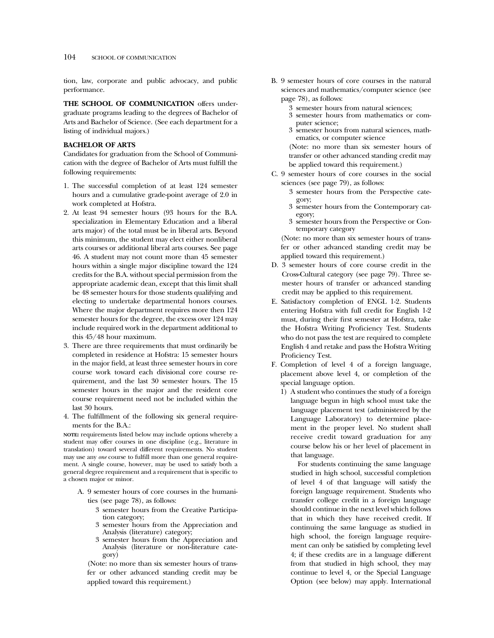tion, law, corporate and public advocacy, and public performance.

**THE SCHOOL OF COMMUNICATION** offers undergraduate programs leading to the degrees of Bachelor of Arts and Bachelor of Science. (See each department for a listing of individual majors.)

# **BACHELOR OF ARTS**

Candidates for graduation from the School of Communication with the degree of Bachelor of Arts must fulfill the following requirements:

- 1. The successful completion of at least 124 semester hours and a cumulative grade-point average of 2.0 in work completed at Hofstra.
- 2. At least 94 semester hours (93 hours for the B.A. specialization in Elementary Education and a liberal arts major) of the total must be in liberal arts. Beyond this minimum, the student may elect either nonliberal arts courses or additional liberal arts courses. See page 46. A student may not count more than 45 semester hours within a single major discipline toward the 124 credits for the B.A. without special permission from the appropriate academic dean, except that this limit shall be 48 semester hours for those students qualifying and electing to undertake departmental honors courses. Where the major department requires more then 124 semester hours for the degree, the excess over 124 may include required work in the department additional to this 45/48 hour maximum.
- 3. There are three requirements that must ordinarily be completed in residence at Hofstra: 15 semester hours in the major field, at least three semester hours in core course work toward each divisional core course requirement, and the last 30 semester hours. The 15 semester hours in the major and the resident core course requirement need not be included within the last 30 hours.
- 4. The fulfillment of the following six general requirements for the B.A.:

**NOTE:** requirements listed below may include options whereby a student may offer courses in one discipline (e.g., literature in translation) toward several different requirements. No student may use any *one* course to fulfill more than one general requirement. A single course, however, may be used to satisfy both a general degree requirement and a requirement that is specific to a chosen major or minor.

- A. 9 semester hours of core courses in the humanities (see page 78), as follows:
	- 3 semester hours from the Creative Participation category;
	- 3 semester hours from the Appreciation and Analysis (literature) category;
	- 3 semester hours from the Appreciation and Analysis (literature or non-literature category)

(Note: no more than six semester hours of transfer or other advanced standing credit may be applied toward this requirement.)

- B. 9 semester hours of core courses in the natural sciences and mathematics/computer science (see page 78), as follows:
	- 3 semester hours from natural sciences;
	- 3 semester hours from mathematics or computer science;
	- 3 semester hours from natural sciences, mathematics, or computer science

(Note: no more than six semester hours of transfer or other advanced standing credit may be applied toward this requirement.)

- C. 9 semester hours of core courses in the social sciences (see page 79), as follows:
	- 3 semester hours from the Perspective category;
	- 3 semester hours from the Contemporary category;
	- 3 semester hours from the Perspective or Contemporary category

(Note: no more than six semester hours of transfer or other advanced standing credit may be applied toward this requirement.)

- D. 3 semester hours of core course credit in the Cross-Cultural category (see page 79). Three semester hours of transfer or advanced standing credit may be applied to this requirement.
- E. Satisfactory completion of ENGL 1-2. Students entering Hofstra with full credit for English 1-2 must, during their first semester at Hofstra, take the Hofstra Writing Proficiency Test. Students who do not pass the test are required to complete English 4 and retake and pass the Hofstra Writing Proficiency Test.
- F. Completion of level 4 of a foreign language, placement above level 4, or completion of the special language option.
	- 1) A student who continues the study of a foreign language begun in high school must take the language placement test (administered by the Language Laboratory) to determine placement in the proper level. No student shall receive credit toward graduation for any course below his or her level of placement in that language.

For students continuing the same language studied in high school, successful completion of level 4 of that language will satisfy the foreign language requirement. Students who transfer college credit in a foreign language should continue in the next level which follows that in which they have received credit. If continuing the same language as studied in high school, the foreign language requirement can only be satisfied by completing level 4; if these credits are in a language different from that studied in high school, they may continue to level 4, or the Special Language Option (see below) may apply. International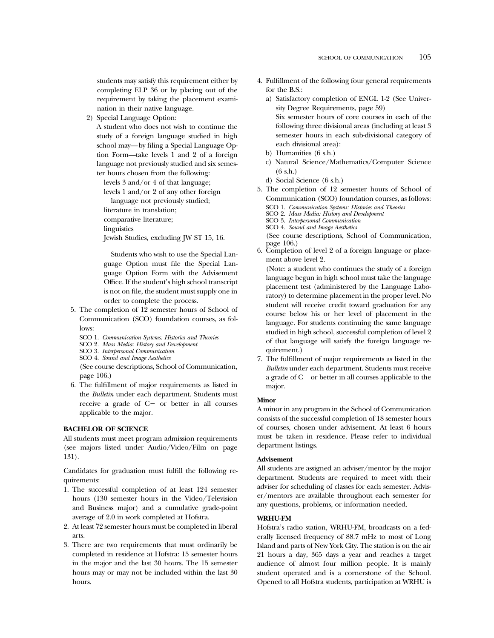students may satisfy this requirement either by completing ELP 36 or by placing out of the requirement by taking the placement examination in their native language.

2) Special Language Option:

A student who does not wish to continue the study of a foreign language studied in high school may—by filing a Special Language Option Form—take levels 1 and 2 of a foreign language not previously studied and six semester hours chosen from the following:

levels 3 and/or 4 of that language; levels 1 and/or 2 of any other foreign language not previously studied;

literature in translation;

comparative literature;

linguistics

Jewish Studies, excluding JW ST 15, 16.

Students who wish to use the Special Language Option must file the Special Language Option Form with the Advisement Office. If the student's high school transcript is not on file, the student must supply one in order to complete the process.

- 5. The completion of 12 semester hours of School of Communication (SCO) foundation courses, as follows:
	- SCO 1. *Communication Systems: Histories and Theories*
	- SCO 2. *Mass Media: History and Development*
	- SCO 3. *Interpersonal Communication*
	- SCO 4. *Sound and Image Aesthetics*

(See course descriptions, School of Communication, page 106.)

6. The fulfillment of major requirements as listed in the *Bulletin* under each department. Students must receive a grade of  $C-$  or better in all courses applicable to the major.

## **BACHELOR OF SCIENCE**

All students must meet program admission requirements (see majors listed under Audio/Video/Film on page 131).

Candidates for graduation must fulfill the following requirements:

- 1. The successful completion of at least 124 semester hours (130 semester hours in the Video/Television and Business major) and a cumulative grade-point average of 2.0 in work completed at Hofstra.
- 2. At least 72 semester hours must be completed in liberal arts.
- 3. There are two requirements that must ordinarily be completed in residence at Hofstra: 15 semester hours in the major and the last 30 hours. The 15 semester hours may or may not be included within the last 30 hours.
- 4. Fulfillment of the following four general requirements for the B.S.:
	- a) Satisfactory completion of ENGL 1-2 (See University Degree Requirements, page 59) Six semester hours of core courses in each of the following three divisional areas (including at least 3 semester hours in each sub-divisional category of each divisional area):
	- b) Humanities (6 s.h.)
	- c) Natural Science/Mathematics/Computer Science (6 s.h.)
	- d) Social Science (6 s.h.)
- 5. The completion of 12 semester hours of School of Communication (SCO) foundation courses, as follows: SCO 1. *Communication Systems: Histories and Theories*
	- SCO 2. *Mass Media: History and Development*
	- SCO 3. *Interpersonal Communication*
	- SCO 4. *Sound and Image Aesthetics*

(See course descriptions, School of Communication, page 106.)

6. Completion of level 2 of a foreign language or placement above level 2.

(Note: a student who continues the study of a foreign language begun in high school must take the language placement test (administered by the Language Laboratory) to determine placement in the proper level. No student will receive credit toward graduation for any course below his or her level of placement in the language. For students continuing the same language studied in high school, successful completion of level 2 of that language will satisfy the foreign language requirement.)

7. The fulfillment of major requirements as listed in the *Bulletin* under each department. Students must receive a grade of  $C-$  or better in all courses applicable to the major.

## **Minor**

A minor in any program in the School of Communication consists of the successful completion of 18 semester hours of courses, chosen under advisement. At least 6 hours must be taken in residence. Please refer to individual department listings.

# **Advisement**

All students are assigned an adviser/mentor by the major department. Students are required to meet with their adviser for scheduling of classes for each semester. Adviser/mentors are available throughout each semester for any questions, problems, or information needed.

# **WRHU-FM**

Hofstra's radio station, WRHU-FM, broadcasts on a federally licensed frequency of 88.7 mHz to most of Long Island and parts of New York City. The station is on the air 21 hours a day, 365 days a year and reaches a target audience of almost four million people. It is mainly student operated and is a cornerstone of the School. Opened to all Hofstra students, participation at WRHU is